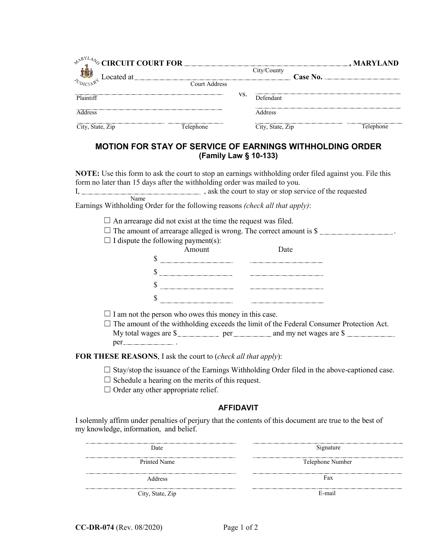| $\triangle^{pRYLA}$ % CIRCUIT COURT FOR             |               |     |                  |          | $\mathbf{\underline{u}}$ , MARYLAND |
|-----------------------------------------------------|---------------|-----|------------------|----------|-------------------------------------|
| $\frac{1}{\sqrt[n]{b_{DIC1}\delta^{c}}}$ Located at |               |     | City/County      | Case No. |                                     |
|                                                     | Court Address |     |                  |          |                                     |
| Plaintiff                                           |               | VS. | Defendant        |          |                                     |
| Address                                             |               |     | Address          |          |                                     |
| City, State, Zip                                    | Telephone     |     | City, State, Zip |          | Telephone                           |

## **MOTION FOR STAY OF SERVICE OF EARNINGS WITHHOLDING ORDER (Family Law § 10-133)**

**NOTE:** Use this form to ask the court to stop an earnings withholding order filed against you. File this form no later than 15 days after the withholding order was mailed to you. I,  $\frac{1}{2}$  , ask the court to stay or stop service of the requested NameEarnings Withholding Order for the following reasons *(check all that apply)*:  $\Box$  An arrearage did not exist at the time the request was filed.  $\Box$  The amount of arrearage alleged is wrong. The correct amount is \$  $\Box$  I dispute the following payment(s): Amount Date \$  $\sim$  $\sim$  $\sim$  $\Box$  I am not the person who owes this money in this case.  $\Box$  The amount of the withholding exceeds the limit of the Federal Consumer Protection Act. My total wages are \$ per . **FOR THESE REASONS**, I ask the court to (*check all that apply*):  $\Box$  Stay/stop the issuance of the Earnings Withholding Order filed in the above-captioned case.  $\Box$  Schedule a hearing on the merits of this request.

 $\Box$  Order any other appropriate relief.

## **AFFIDAVIT**

I solemnly affirm under penalties of perjury that the contents of this document are true to the best of my knowledge, information, and belief.

| Date             | Signature        |
|------------------|------------------|
| Printed Name     | Telephone Number |
| Address          | Fax              |
| City, State, Zip | E-mail           |